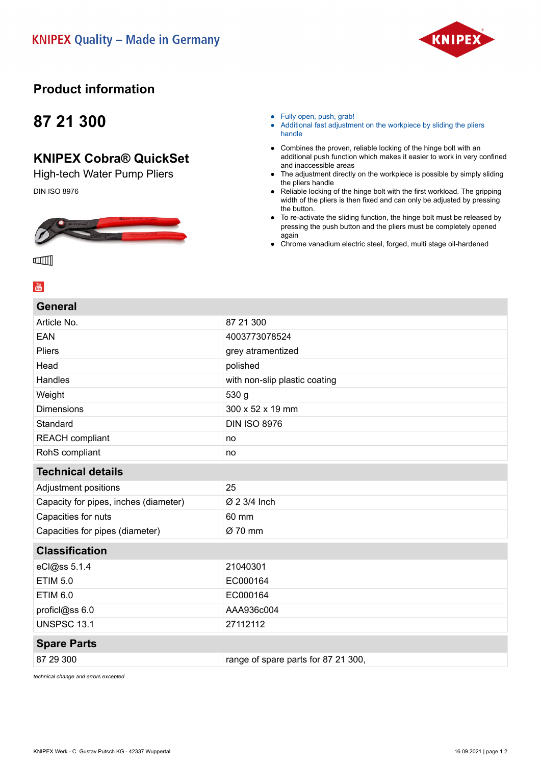

### **Product information**

## **87 21 300**

### **KNIPEX Cobra® QuickSet**

High-tech Water Pump Pliers

DIN ISO 8976



● Fully open, push, grab!

- Additional fast adjustment on the workpiece by sliding the pliers handle
- Combines the proven, reliable locking of the hinge bolt with an additional push function which makes it easier to work in very confined and inaccessible areas
- The adjustment directly on the workpiece is possible by simply sliding the pliers handle
- Reliable locking of the hinge bolt with the first workload. The gripping width of the pliers is then fixed and can only be adjusted by pressing the button.
- To re-activate the sliding function, the hinge bolt must be released by pressing the push button and the pliers must be completely opened again
- Chrome vanadium electric steel, forged, multi stage oil-hardened

ш∭

#### $\frac{You}{f(t)}$

**General**

| General                               |                                     |
|---------------------------------------|-------------------------------------|
| Article No.                           | 87 21 300                           |
| <b>EAN</b>                            | 4003773078524                       |
| <b>Pliers</b>                         | grey atramentized                   |
| Head                                  | polished                            |
| Handles                               | with non-slip plastic coating       |
| Weight                                | 530 g                               |
| <b>Dimensions</b>                     | 300 x 52 x 19 mm                    |
| Standard                              | <b>DIN ISO 8976</b>                 |
| <b>REACH</b> compliant                | no                                  |
| RohS compliant                        | no                                  |
| <b>Technical details</b>              |                                     |
| Adjustment positions                  | 25                                  |
| Capacity for pipes, inches (diameter) | Ø 2 3/4 Inch                        |
| Capacities for nuts                   | 60 mm                               |
| Capacities for pipes (diameter)       | Ø 70 mm                             |
| <b>Classification</b>                 |                                     |
| eCl@ss 5.1.4                          | 21040301                            |
| <b>ETIM 5.0</b>                       | EC000164                            |
| <b>ETIM 6.0</b>                       | EC000164                            |
| proficl@ss 6.0                        | AAA936c004                          |
| <b>UNSPSC 13.1</b>                    | 27112112                            |
| <b>Spare Parts</b>                    |                                     |
| 87 29 300                             | range of spare parts for 87 21 300, |
|                                       |                                     |

*technical change and errors excepted*